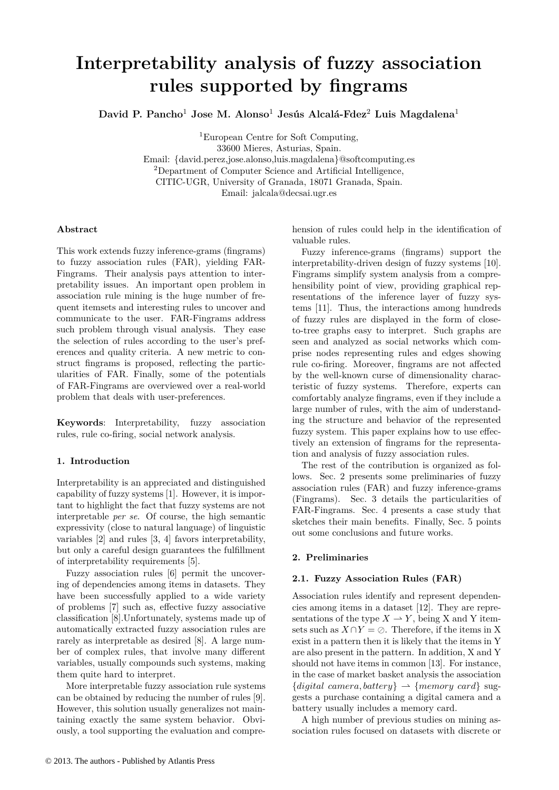# **Interpretability analysis of fuzzy association rules supported by fingrams**

**David P. Pancho**<sup>1</sup> **Jose M. Alonso**<sup>1</sup> **Jesús Alcalá-Fdez**<sup>2</sup> **Luis Magdalena**<sup>1</sup>

<sup>1</sup>European Centre for Soft Computing,

33600 Mieres, Asturias, Spain.

Email: {david.perez,jose.alonso,luis.magdalena}@softcomputing.es <sup>2</sup>Department of Computer Science and Artificial Intelligence, CITIC-UGR, University of Granada, 18071 Granada, Spain. Email: jalcala@decsai.ugr.es

# **Abstract**

This work extends fuzzy inference-grams (fingrams) to fuzzy association rules (FAR), yielding FAR-Fingrams. Their analysis pays attention to interpretability issues. An important open problem in association rule mining is the huge number of frequent itemsets and interesting rules to uncover and communicate to the user. FAR-Fingrams address such problem through visual analysis. They ease the selection of rules according to the user's preferences and quality criteria. A new metric to construct fingrams is proposed, reflecting the particularities of FAR. Finally, some of the potentials of FAR-Fingrams are overviewed over a real-world problem that deals with user-preferences.

**Keywords**: Interpretability, fuzzy association rules, rule co-firing, social network analysis.

# **1. Introduction**

Interpretability is an appreciated and distinguished capability of fuzzy systems [1]. However, it is important to highlight the fact that fuzzy systems are not interpretable *per se*. Of course, the high semantic expressivity (close to natural language) of linguistic variables [2] and rules [3, 4] favors interpretability, but only a careful design guarantees the fulfillment of interpretability requirements [5].

Fuzzy association rules [6] permit the uncovering of dependencies among items in datasets. They have been successfully applied to a wide variety of problems [7] such as, effective fuzzy associative classification [8].Unfortunately, systems made up of automatically extracted fuzzy association rules are rarely as interpretable as desired [8]. A large number of complex rules, that involve many different variables, usually compounds such systems, making them quite hard to interpret.

More interpretable fuzzy association rule systems can be obtained by reducing the number of rules [9]. However, this solution usually generalizes not maintaining exactly the same system behavior. Obviously, a tool supporting the evaluation and comprehension of rules could help in the identification of valuable rules.

Fuzzy inference-grams (fingrams) support the interpretability-driven design of fuzzy systems [10]. Fingrams simplify system analysis from a comprehensibility point of view, providing graphical representations of the inference layer of fuzzy systems [11]. Thus, the interactions among hundreds of fuzzy rules are displayed in the form of closeto-tree graphs easy to interpret. Such graphs are seen and analyzed as social networks which comprise nodes representing rules and edges showing rule co-firing. Moreover, fingrams are not affected by the well-known curse of dimensionality characteristic of fuzzy systems. Therefore, experts can comfortably analyze fingrams, even if they include a large number of rules, with the aim of understanding the structure and behavior of the represented fuzzy system. This paper explains how to use effectively an extension of fingrams for the representation and analysis of fuzzy association rules.

The rest of the contribution is organized as follows. Sec. 2 presents some preliminaries of fuzzy association rules (FAR) and fuzzy inference-grams (Fingrams). Sec. 3 details the particularities of FAR-Fingrams. Sec. 4 presents a case study that sketches their main benefits. Finally, Sec. 5 points out some conclusions and future works.

## **2. Preliminaries**

## **2.1. Fuzzy Association Rules (FAR)**

Association rules identify and represent dependencies among items in a dataset [12]. They are representations of the type  $X \to Y$ , being X and Y itemsets such as  $X \cap Y = \emptyset$ . Therefore, if the items in X exist in a pattern then it is likely that the items in Y are also present in the pattern. In addition, X and Y should not have items in common [13]. For instance, in the case of market basket analysis the association  ${digital \; camera, battery} \rightarrow {memory \; card} \; sug$ gests a purchase containing a digital camera and a battery usually includes a memory card.

A high number of previous studies on mining association rules focused on datasets with discrete or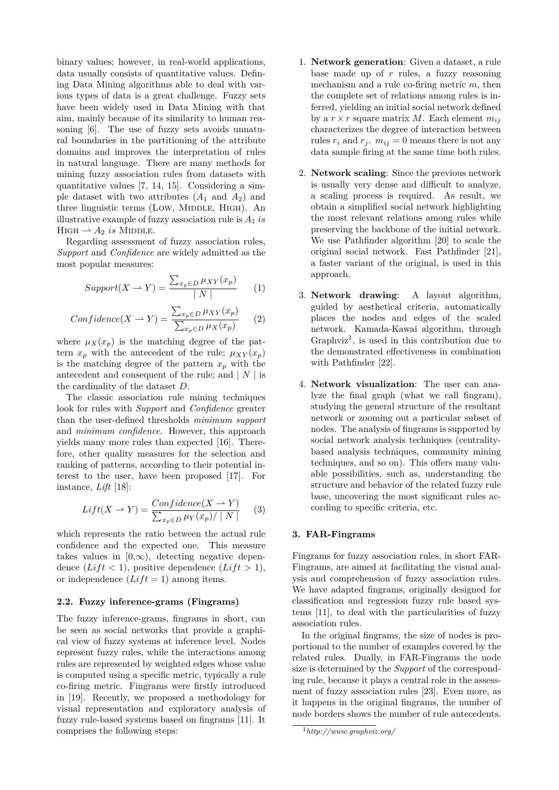binary values; however, in real-world applications, data usually consists of quantitative values. Defining Data Mining algorithms able to deal with various types of data is a great challenge. Fuzzy sets have been widely used in Data Mining with that aim, mainly because of its similarity to human reasoning [6]. The use of fuzzy sets avoids unnatural boundaries in the partitioning of the attribute domains and improves the interpretation of rules in natural language. There are many methods for mining fuzzy association rules from datasets with quantitative values [7, 14, 15]. Considering a simple dataset with two attributes  $(A_1 \text{ and } A_2)$  and three linguistic terms (LOW, MIDDLE, HIGH). An illustrative example of fuzzy association rule is  $A_1$  *is*  $H$ IGH  $\rightarrow$  *A*<sub>2</sub> *is* MIDDLE.

Regarding assessment of fuzzy association rules, *Support* and *Confidence* are widely admitted as the most popular measures:

$$
Support(X \to Y) = \frac{\sum_{x_p \in D} \mu_{XY}(x_p)}{|N|} \tag{1}
$$

$$
Confidence(X \rightharpoonup Y) = \frac{\sum_{x_p \in D} \mu_{XY}(x_p)}{\sum_{x_p \in D} \mu_X(x_p)} \qquad (2)
$$

where  $\mu_X(x_p)$  is the matching degree of the pattern  $x_p$  with the antecedent of the rule;  $\mu_{XY}(x_p)$ is the matching degree of the pattern  $x_p$  with the antecedent and consequent of the rule; and  $|N|$  is the cardinality of the dataset *D*.

The classic association rule mining techniques look for rules with *Support* and *Confidence* greater than the user-defined thresholds *minimum support* and *minimum confidence*. However, this approach yields many more rules than expected [16]. Therefore, other quality measures for the selection and ranking of patterns, according to their potential interest to the user, have been proposed [17]. For instance, *Lift* [18]:

$$
Lift(X \to Y) = \frac{Confidence(X \to Y)}{\sum_{x_p \in D} \mu_Y(x_p) / |N|}
$$
 (3)

which represents the ratio between the actual rule confidence and the expected one. This measure takes values in  $[0, \infty)$ , detecting negative dependence  $(Lift < 1)$ , positive dependence  $(Lift > 1)$ , or independence  $(Lift = 1)$  among items.

#### **2.2. Fuzzy inference-grams (Fingrams)**

The fuzzy inference-grams, fingrams in short, can be seen as social networks that provide a graphical view of fuzzy systems at inference level. Nodes represent fuzzy rules, while the interactions among rules are represented by weighted edges whose value is computed using a specific metric, typically a rule co-firing metric. Fingrams were firstly introduced in [19]. Recently, we proposed a methodology for visual representation and exploratory analysis of fuzzy rule-based systems based on fingrams [11]. It comprises the following steps:

- 1. **Network generation**: Given a dataset, a rule base made up of *r* rules, a fuzzy reasoning mechanism and a rule co-firing metric *m*, then the complete set of relations among rules is inferred, yielding an initial social network defined by a  $r \times r$  square matrix M. Each element  $m_{ij}$ characterizes the degree of interaction between rules  $r_i$  and  $r_j$ ,  $m_{ij} = 0$  means there is not any data sample firing at the same time both rules.
- 2. **Network scaling**: Since the previous network is usually very dense and difficult to analyze, a scaling process is required. As result, we obtain a simplified social network highlighting the most relevant relations among rules while preserving the backbone of the initial network. We use Pathfinder algorithm [20] to scale the original social network. Fast Pathfinder [21], a faster variant of the original, is used in this approach.
- 3. **Network drawing**: A layout algorithm, guided by aesthetical criteria, automatically places the nodes and edges of the scaled network. Kamada-Kawai algorithm, through  $Graphviz<sup>1</sup>$ , is used in this contribution due to the demonstrated effectiveness in combination with Pathfinder [22].
- 4. **Network visualization**: The user can analyze the final graph (what we call fingram), studying the general structure of the resultant network or zooming out a particular subset of nodes. The analysis of fingrams is supported by social network analysis techniques (centralitybased analysis techniques, community mining techniques, and so on). This offers many valuable possibilities, such as, understanding the structure and behavior of the related fuzzy rule base, uncovering the most significant rules according to specific criteria, etc.

## **3. FAR-Fingrams**

Fingrams for fuzzy association rules, in short FAR-Fingrams, are aimed at facilitating the visual analysis and comprehension of fuzzy association rules. We have adapted fingrams, originally designed for classification and regression fuzzy rule based systems [11], to deal with the particularities of fuzzy association rules.

In the original fingrams, the size of nodes is proportional to the number of examples covered by the related rules. Dually, in FAR-Fingrams the node size is determined by the *Support* of the corresponding rule, because it plays a central role in the assessment of fuzzy association rules [23]. Even more, as it happens in the original fingrams, the number of node borders shows the number of rule antecedents.

<sup>1</sup>*http://www.graphviz.org/*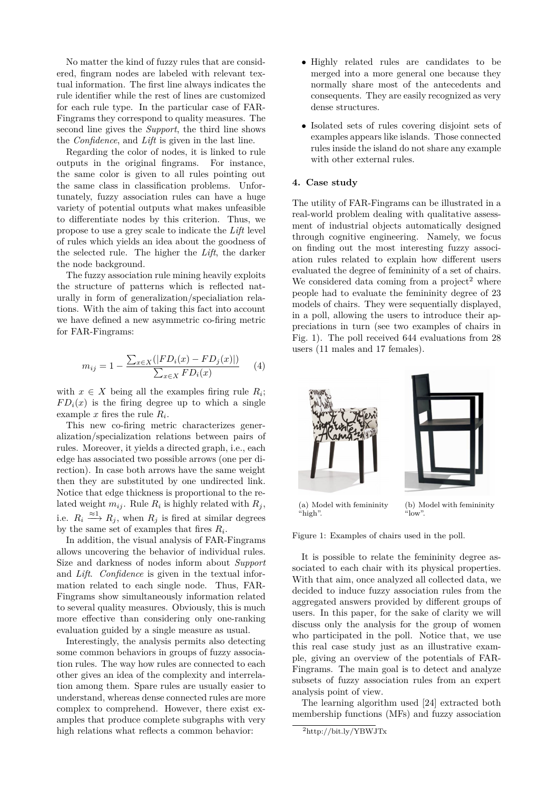No matter the kind of fuzzy rules that are considered, fingram nodes are labeled with relevant textual information. The first line always indicates the rule identifier while the rest of lines are customized for each rule type. In the particular case of FAR-Fingrams they correspond to quality measures. The second line gives the *Support*, the third line shows the *Confidence*, and *Lift* is given in the last line.

Regarding the color of nodes, it is linked to rule outputs in the original fingrams. For instance, the same color is given to all rules pointing out the same class in classification problems. Unfortunately, fuzzy association rules can have a huge variety of potential outputs what makes unfeasible to differentiate nodes by this criterion. Thus, we propose to use a grey scale to indicate the *Lift* level of rules which yields an idea about the goodness of the selected rule. The higher the *Lift*, the darker the node background.

The fuzzy association rule mining heavily exploits the structure of patterns which is reflected naturally in form of generalization/specialiation relations. With the aim of taking this fact into account we have defined a new asymmetric co-firing metric for FAR-Fingrams:

$$
m_{ij} = 1 - \frac{\sum_{x \in X} (|FD_i(x) - FD_j(x)|)}{\sum_{x \in X} FD_i(x)} \tag{4}
$$

with  $x \in X$  being all the examples firing rule  $R_i$ ;  $FD_i(x)$  is the firing degree up to which a single example  $x$  fires the rule  $R_i$ .

This new co-firing metric characterizes generalization/specialization relations between pairs of rules. Moreover, it yields a directed graph, i.e., each edge has associated two possible arrows (one per direction). In case both arrows have the same weight then they are substituted by one undirected link. Notice that edge thickness is proportional to the related weight  $m_{ij}$ . Rule  $R_i$  is highly related with  $R_j$ , i.e.  $R_i \stackrel{\approx 1}{\longrightarrow} R_j$ , when  $R_j$  is fired at similar degrees by the same set of examples that fires *R<sup>i</sup>* .

In addition, the visual analysis of FAR-Fingrams allows uncovering the behavior of individual rules. Size and darkness of nodes inform about *Support* and *Lift*. *Confidence* is given in the textual information related to each single node. Thus, FAR-Fingrams show simultaneously information related to several quality measures. Obviously, this is much more effective than considering only one-ranking evaluation guided by a single measure as usual.

Interestingly, the analysis permits also detecting some common behaviors in groups of fuzzy association rules. The way how rules are connected to each other gives an idea of the complexity and interrelation among them. Spare rules are usually easier to understand, whereas dense connected rules are more complex to comprehend. However, there exist examples that produce complete subgraphs with very high relations what reflects a common behavior:

- Highly related rules are candidates to be merged into a more general one because they normally share most of the antecedents and consequents. They are easily recognized as very dense structures.
- Isolated sets of rules covering disjoint sets of examples appears like islands. Those connected rules inside the island do not share any example with other external rules.

#### **4. Case study**

The utility of FAR-Fingrams can be illustrated in a real-world problem dealing with qualitative assessment of industrial objects automatically designed through cognitive engineering. Namely, we focus on finding out the most interesting fuzzy association rules related to explain how different users evaluated the degree of femininity of a set of chairs. We considered data coming from a project<sup>2</sup> where people had to evaluate the femininity degree of 23 models of chairs. They were sequentially displayed, in a poll, allowing the users to introduce their appreciations in turn (see two examples of chairs in Fig. 1). The poll received 644 evaluations from 28 users (11 males and 17 females).



(a) Model with femininity "high". (b) Model with femininity "low".

Figure 1: Examples of chairs used in the poll.

It is possible to relate the femininity degree associated to each chair with its physical properties. With that aim, once analyzed all collected data, we decided to induce fuzzy association rules from the aggregated answers provided by different groups of users. In this paper, for the sake of clarity we will discuss only the analysis for the group of women who participated in the poll. Notice that, we use this real case study just as an illustrative example, giving an overview of the potentials of FAR-Fingrams. The main goal is to detect and analyze subsets of fuzzy association rules from an expert analysis point of view.

The learning algorithm used [24] extracted both membership functions (MFs) and fuzzy association

<sup>2</sup>http://bit.ly/YBWJTx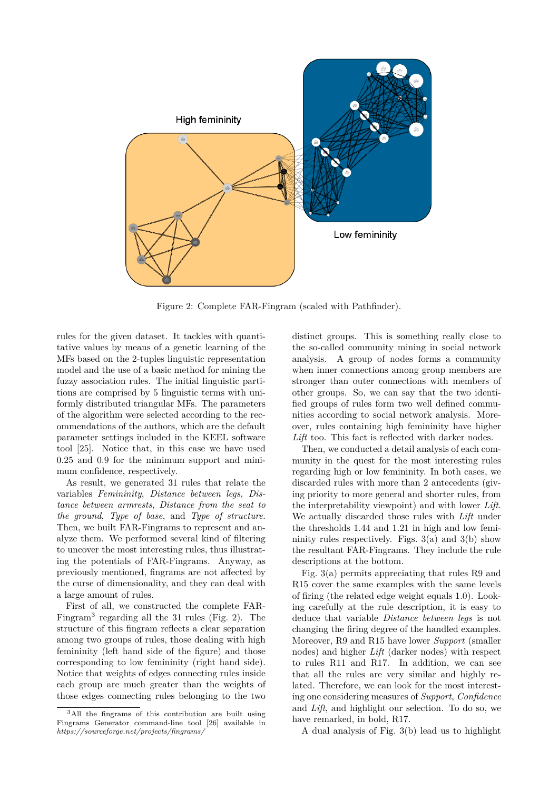

Figure 2: Complete FAR-Fingram (scaled with Pathfinder).

rules for the given dataset. It tackles with quantitative values by means of a genetic learning of the MFs based on the 2-tuples linguistic representation model and the use of a basic method for mining the fuzzy association rules. The initial linguistic partitions are comprised by 5 linguistic terms with uniformly distributed triangular MFs. The parameters of the algorithm were selected according to the recommendations of the authors, which are the default parameter settings included in the KEEL software tool [25]. Notice that, in this case we have used 0.25 and 0.9 for the minimum support and minimum confidence, respectively.

As result, we generated 31 rules that relate the variables *Femininity*, *Distance between legs*, *Distance between armrests*, *Distance from the seat to the ground*, *Type of base*, and *Type of structure*. Then, we built FAR-Fingrams to represent and analyze them. We performed several kind of filtering to uncover the most interesting rules, thus illustrating the potentials of FAR-Fingrams. Anyway, as previously mentioned, fingrams are not affected by the curse of dimensionality, and they can deal with a large amount of rules.

First of all, we constructed the complete FAR-Fingram<sup>3</sup> regarding all the 31 rules (Fig. 2). The structure of this fingram reflects a clear separation among two groups of rules, those dealing with high femininity (left hand side of the figure) and those corresponding to low femininity (right hand side). Notice that weights of edges connecting rules inside each group are much greater than the weights of those edges connecting rules belonging to the two

distinct groups. This is something really close to the so-called community mining in social network analysis. A group of nodes forms a community when inner connections among group members are stronger than outer connections with members of other groups. So, we can say that the two identified groups of rules form two well defined communities according to social network analysis. Moreover, rules containing high femininity have higher *Lift* too. This fact is reflected with darker nodes.

Then, we conducted a detail analysis of each community in the quest for the most interesting rules regarding high or low femininity. In both cases, we discarded rules with more than 2 antecedents (giving priority to more general and shorter rules, from the interpretability viewpoint) and with lower *Lift*. We actually discarded those rules with *Lift* under the thresholds 1.44 and 1.21 in high and low femininity rules respectively. Figs.  $3(a)$  and  $3(b)$  show the resultant FAR-Fingrams. They include the rule descriptions at the bottom.

Fig. 3(a) permits appreciating that rules R9 and R15 cover the same examples with the same levels of firing (the related edge weight equals 1.0). Looking carefully at the rule description, it is easy to deduce that variable *Distance between legs* is not changing the firing degree of the handled examples. Moreover, R9 and R15 have lower *Support* (smaller nodes) and higher *Lift* (darker nodes) with respect to rules R11 and R17. In addition, we can see that all the rules are very similar and highly related. Therefore, we can look for the most interesting one considering measures of *Support*, *Confidence* and *Lift*, and highlight our selection. To do so, we have remarked, in bold, R17.

A dual analysis of Fig. 3(b) lead us to highlight

<sup>3</sup>All the fingrams of this contribution are built using Fingrams Generator command-line tool [26] available in *https://sourceforge.net/projects/fingrams/*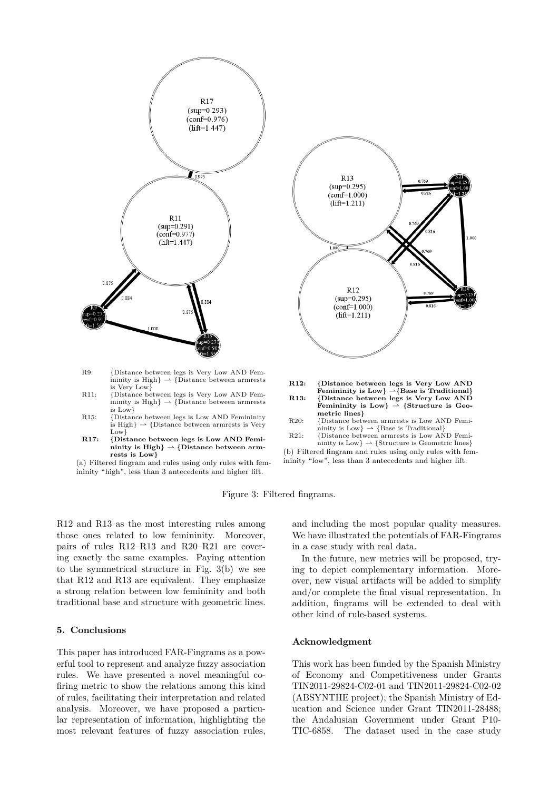

- R9: {Distance between legs is Very Low AND Femininity is High  $\rightarrow$  {Distance between armrests} is Very Low}
- R11: {Distance between legs is Very Low AND Femininity is High}  $\rightarrow$  {Distance between armrests is Low}
- R15: {Distance between legs is Low AND Femininity is High $\} \rightarrow$  {Distance between armrests is Very Low<sup>}</sup>
- **R17: {Distance between legs is Low AND Femi-** $\text{minity is High}$   $\rightarrow$  {Distance between arm**rests is Low}**
- (a) Filtered fingram and rules using only rules with femininity "high", less than 3 antecedents and higher lift.



**R12: {Distance between legs is Very Low AND Femininity is Low}** *\****{Base is Traditional} R13: {Distance between legs is Very Low AND** Femininity is Low $\}$   $\rightarrow$  {Structure is Geo**metric lines}**

- R20: {Distance between armrests is Low AND Femininity is  $Low$ }  $\rightarrow$  {Base is Traditional}
- R21: {Distance between armrests is Low AND Femininity is  $Low$ }  $\rightarrow$  {Structure is Geometric lines}

(b) Filtered fingram and rules using only rules with femininity "low", less than 3 antecedents and higher lift.

Figure 3: Filtered fingrams.

R12 and R13 as the most interesting rules among those ones related to low femininity. Moreover, pairs of rules R12–R13 and R20–R21 are covering exactly the same examples. Paying attention to the symmetrical structure in Fig. 3(b) we see that R12 and R13 are equivalent. They emphasize a strong relation between low femininity and both traditional base and structure with geometric lines.

#### **5. Conclusions**

This paper has introduced FAR-Fingrams as a powerful tool to represent and analyze fuzzy association rules. We have presented a novel meaningful cofiring metric to show the relations among this kind of rules, facilitating their interpretation and related analysis. Moreover, we have proposed a particular representation of information, highlighting the most relevant features of fuzzy association rules,

and including the most popular quality measures. We have illustrated the potentials of FAR-Fingrams in a case study with real data.

In the future, new metrics will be proposed, trying to depict complementary information. Moreover, new visual artifacts will be added to simplify and/or complete the final visual representation. In addition, fingrams will be extended to deal with other kind of rule-based systems.

#### **Acknowledgment**

This work has been funded by the Spanish Ministry of Economy and Competitiveness under Grants TIN2011-29824-C02-01 and TIN2011-29824-C02-02 (ABSYNTHE project); the Spanish Ministry of Education and Science under Grant TIN2011-28488; the Andalusian Government under Grant P10- TIC-6858. The dataset used in the case study